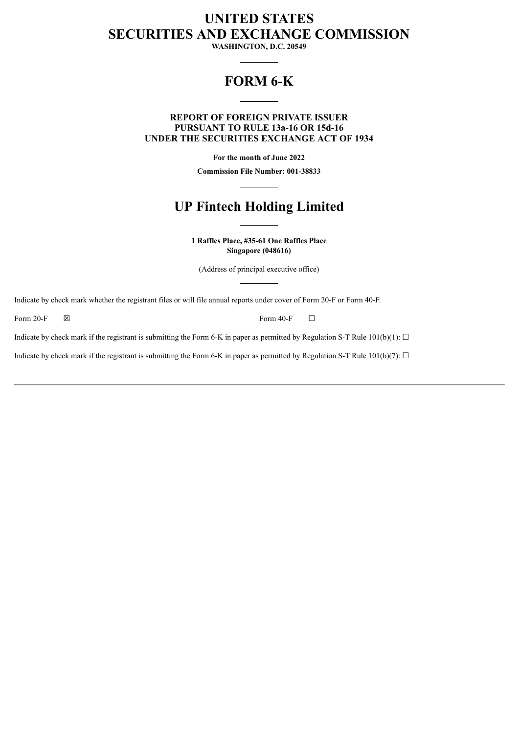## **UNITED STATES SECURITIES AND EXCHANGE COMMISSION**

**WASHINGTON, D.C. 20549**

## **FORM 6-K**

## **REPORT OF FOREIGN PRIVATE ISSUER PURSUANT TO RULE 13a-16 OR 15d-16 UNDER THE SECURITIES EXCHANGE ACT OF 1934**

**For the month of June 2022**

**Commission File Number: 001-38833**

# **UP Fintech Holding Limited**

**1 Raffles Place, #35-61 One Raffles Place Singapore (048616)**

(Address of principal executive office)

Indicate by check mark whether the registrant files or will file annual reports under cover of Form 20-F or Form 40-F.

Form 20-F  $\boxtimes$  Form 40-F  $\Box$ 

Indicate by check mark if the registrant is submitting the Form 6-K in paper as permitted by Regulation S-T Rule 101(b)(1):  $\Box$ 

Indicate by check mark if the registrant is submitting the Form 6-K in paper as permitted by Regulation S-T Rule 101(b)(7):  $\Box$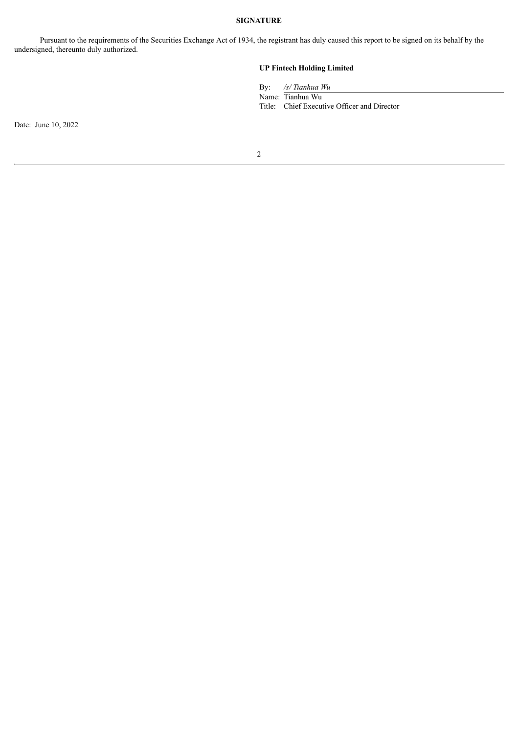#### **SIGNATURE**

Pursuant to the requirements of the Securities Exchange Act of 1934, the registrant has duly caused this report to be signed on its behalf by the undersigned, thereunto duly authorized.

## **UP Fintech Holding Limited**

By: */s/ Tianhua Wu*

Name: Tianhua Wu Title: Chief Executive Officer and Director

Date: June 10, 2022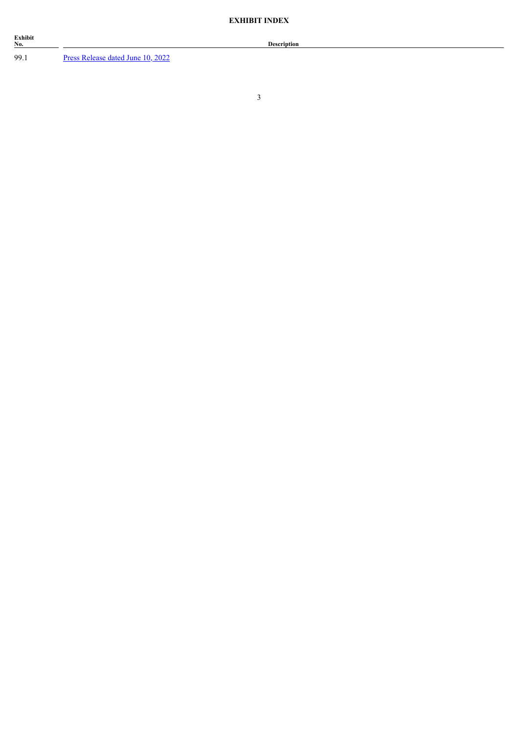99.1 Press [Release](#page-3-0) dated June 10, 2022

**Description**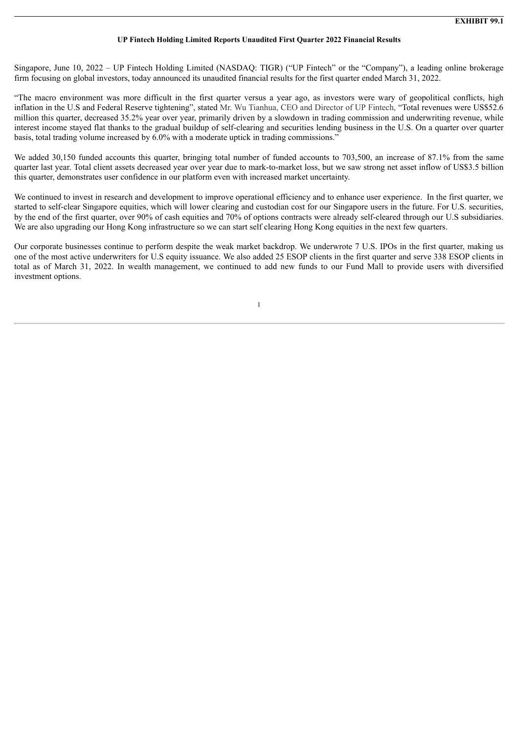#### **UP Fintech Holding Limited Reports Unaudited First Quarter 2022 Financial Results**

<span id="page-3-0"></span>Singapore, June 10, 2022 – UP Fintech Holding Limited (NASDAQ: TIGR) ("UP Fintech" or the "Company"), a leading online brokerage firm focusing on global investors, today announced its unaudited financial results for the first quarter ended March 31, 2022.

"The macro environment was more difficult in the first quarter versus a year ago, as investors were wary of geopolitical conflicts, high inflation in the U.S and Federal Reserve tightening", stated Mr. Wu Tianhua, CEO and Director of UP Fintech, "Total revenues were US\$52.6 million this quarter, decreased 35.2% year over year, primarily driven by a slowdown in trading commission and underwriting revenue, while interest income stayed flat thanks to the gradual buildup of self-clearing and securities lending business in the U.S. On a quarter over quarter basis, total trading volume increased by 6.0% with a moderate uptick in trading commissions."

We added 30,150 funded accounts this quarter, bringing total number of funded accounts to 703,500, an increase of 87.1% from the same quarter last year. Total client assets decreased year over year due to mark-to-market loss, but we saw strong net asset inflow of US\$3.5 billion this quarter, demonstrates user confidence in our platform even with increased market uncertainty.

We continued to invest in research and development to improve operational efficiency and to enhance user experience. In the first quarter, we started to self-clear Singapore equities, which will lower clearing and custodian cost for our Singapore users in the future. For U.S. securities, by the end of the first quarter, over 90% of cash equities and 70% of options contracts were already self-cleared through our U.S subsidiaries. We are also upgrading our Hong Kong infrastructure so we can start self clearing Hong Kong equities in the next few quarters.

Our corporate businesses continue to perform despite the weak market backdrop. We underwrote 7 U.S. IPOs in the first quarter, making us one of the most active underwriters for U.S equity issuance. We also added 25 ESOP clients in the first quarter and serve 338 ESOP clients in total as of March 31, 2022. In wealth management, we continued to add new funds to our Fund Mall to provide users with diversified investment options.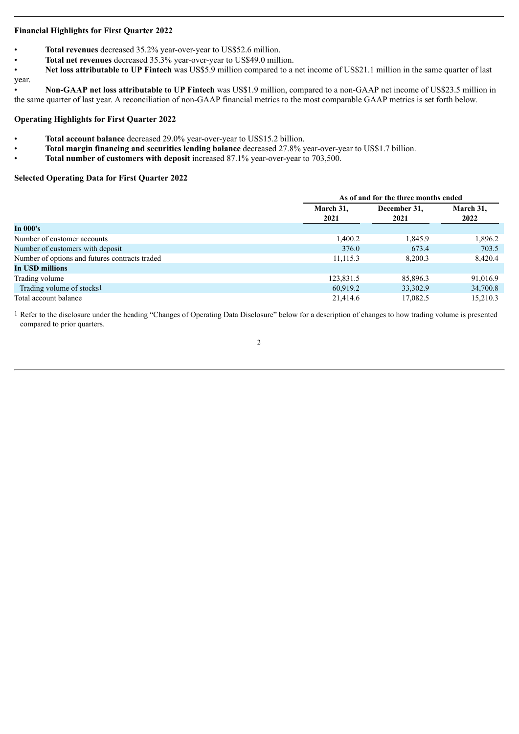## **Financial Highlights for First Quarter 2022**

- **Total revenues** decreased 35.2% year-over-year to US\$52.6 million.
- **Total net revenues** decreased 35.3% year-over-year to US\$49.0 million.
- **Net loss attributable to UP Fintech** was US\$5.9 million compared to a net income of US\$21.1 million in the same quarter of last

year. • **Non-GAAP net loss attributable to UP Fintech** was US\$1.9 million, compared to a non-GAAP net income of US\$23.5 million in the same quarter of last year. A reconciliation of non-GAAP financial metrics to the most comparable GAAP metrics is set forth below.

## **Operating Highlights for First Quarter 2022**

- **Total account balance** decreased 29.0% year-over-year to US\$15.2 billion.
	- **Total margin financing and securities lending balance** decreased 27.8% year-over-year to US\$1.7 billion.
- **Total number of customers with deposit** increased 87.1% year-over-year to 703,500.

## **Selected Operating Data for First Quarter 2022**

|                                                |           | As of and for the three months ended |           |  |  |
|------------------------------------------------|-----------|--------------------------------------|-----------|--|--|
|                                                | March 31, | December 31,                         | March 31, |  |  |
|                                                | 2021      | 2021                                 | 2022      |  |  |
| In 000's                                       |           |                                      |           |  |  |
| Number of customer accounts                    | 1,400.2   | 1,845.9                              | 1,896.2   |  |  |
| Number of customers with deposit               | 376.0     | 673.4                                | 703.5     |  |  |
| Number of options and futures contracts traded | 11,115.3  | 8,200.3                              | 8,420.4   |  |  |
| In USD millions                                |           |                                      |           |  |  |
| Trading volume                                 | 123,831.5 | 85,896.3                             | 91,016.9  |  |  |
| Trading volume of stocks <sup>1</sup>          | 60,919.2  | 33,302.9                             | 34,700.8  |  |  |
| Total account balance                          | 21,414.6  | 17.082.5                             | 15.210.3  |  |  |

<sup>1</sup> Refer to the disclosure under the heading "Changes of Operating Data Disclosure" below for a description of changes to how trading volume is presented compared to prior quarters.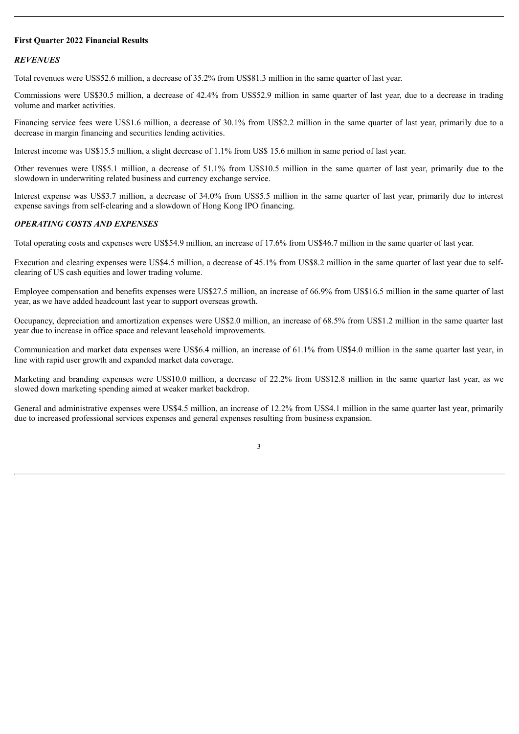#### **First Quarter 2022 Financial Results**

#### *REVENUES*

Total revenues were US\$52.6 million, a decrease of 35.2% from US\$81.3 million in the same quarter of last year.

Commissions were US\$30.5 million, a decrease of 42.4% from US\$52.9 million in same quarter of last year, due to a decrease in trading volume and market activities.

Financing service fees were US\$1.6 million, a decrease of 30.1% from US\$2.2 million in the same quarter of last year, primarily due to a decrease in margin financing and securities lending activities.

Interest income was US\$15.5 million, a slight decrease of 1.1% from US\$ 15.6 million in same period of last year.

Other revenues were US\$5.1 million, a decrease of 51.1% from US\$10.5 million in the same quarter of last year, primarily due to the slowdown in underwriting related business and currency exchange service.

Interest expense was US\$3.7 million, a decrease of 34.0% from US\$5.5 million in the same quarter of last year, primarily due to interest expense savings from self-clearing and a slowdown of Hong Kong IPO financing.

#### *OPERATING COSTS AND EXPENSES*

Total operating costs and expenses were US\$54.9 million, an increase of 17.6% from US\$46.7 million in the same quarter of last year.

Execution and clearing expenses were US\$4.5 million, a decrease of 45.1% from US\$8.2 million in the same quarter of last year due to selfclearing of US cash equities and lower trading volume.

Employee compensation and benefits expenses were US\$27.5 million, an increase of 66.9% from US\$16.5 million in the same quarter of last year, as we have added headcount last year to support overseas growth.

Occupancy, depreciation and amortization expenses were US\$2.0 million, an increase of 68.5% from US\$1.2 million in the same quarter last year due to increase in office space and relevant leasehold improvements.

Communication and market data expenses were US\$6.4 million, an increase of 61.1% from US\$4.0 million in the same quarter last year, in line with rapid user growth and expanded market data coverage.

Marketing and branding expenses were US\$10.0 million, a decrease of 22.2% from US\$12.8 million in the same quarter last year, as we slowed down marketing spending aimed at weaker market backdrop.

General and administrative expenses were US\$4.5 million, an increase of 12.2% from US\$4.1 million in the same quarter last year, primarily due to increased professional services expenses and general expenses resulting from business expansion.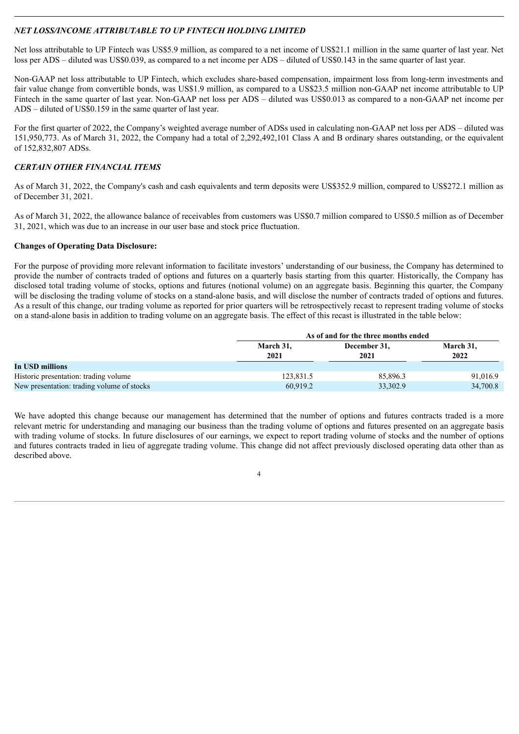## *NET LOSS/INCOME ATTRIBUTABLE TO UP FINTECH HOLDING LIMITED*

Net loss attributable to UP Fintech was US\$5.9 million, as compared to a net income of US\$21.1 million in the same quarter of last year. Net loss per ADS – diluted was US\$0.039, as compared to a net income per ADS – diluted of US\$0.143 in the same quarter of last year.

Non-GAAP net loss attributable to UP Fintech, which excludes share-based compensation, impairment loss from long-term investments and fair value change from convertible bonds, was US\$1.9 million, as compared to a US\$23.5 million non-GAAP net income attributable to UP Fintech in the same quarter of last year. Non-GAAP net loss per ADS – diluted was US\$0.013 as compared to a non-GAAP net income per ADS – diluted of US\$0.159 in the same quarter of last year.

For the first quarter of 2022, the Company's weighted average number of ADSs used in calculating non-GAAP net loss per ADS – diluted was 151,950,773. As of March 31, 2022, the Company had a total of 2,292,492,101 Class A and B ordinary shares outstanding, or the equivalent of 152,832,807 ADSs.

## *CERTAIN OTHER FINANCIAL ITEMS*

As of March 31, 2022, the Company's cash and cash equivalents and term deposits were US\$352.9 million, compared to US\$272.1 million as of December 31, 2021.

As of March 31, 2022, the allowance balance of receivables from customers was US\$0.7 million compared to US\$0.5 million as of December 31, 2021, which was due to an increase in our user base and stock price fluctuation.

#### **Changes of Operating Data Disclosure:**

For the purpose of providing more relevant information to facilitate investors' understanding of our business, the Company has determined to provide the number of contracts traded of options and futures on a quarterly basis starting from this quarter. Historically, the Company has disclosed total trading volume of stocks, options and futures (notional volume) on an aggregate basis. Beginning this quarter, the Company will be disclosing the trading volume of stocks on a stand-alone basis, and will disclose the number of contracts traded of options and futures. As a result of this change, our trading volume as reported for prior quarters will be retrospectively recast to represent trading volume of stocks on a stand-alone basis in addition to trading volume on an aggregate basis. The effect of this recast is illustrated in the table below:

|                                            |                   | As of and for the three months ended |                   |  |  |
|--------------------------------------------|-------------------|--------------------------------------|-------------------|--|--|
|                                            | March 31,<br>2021 | December 31,<br>2021                 | March 31,<br>2022 |  |  |
| In USD millions                            |                   |                                      |                   |  |  |
| Historic presentation: trading volume      | 123,831.5         | 85,896.3                             | 91,016.9          |  |  |
| New presentation: trading volume of stocks | 60.919.2          | 33,302.9                             | 34,700.8          |  |  |

We have adopted this change because our management has determined that the number of options and futures contracts traded is a more relevant metric for understanding and managing our business than the trading volume of options and futures presented on an aggregate basis with trading volume of stocks. In future disclosures of our earnings, we expect to report trading volume of stocks and the number of options and futures contracts traded in lieu of aggregate trading volume. This change did not affect previously disclosed operating data other than as described above.

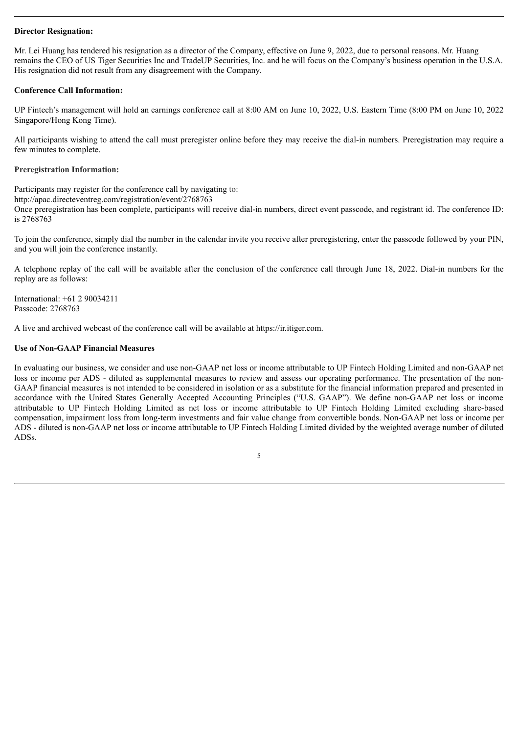## **Director Resignation:**

Mr. Lei Huang has tendered his resignation as a director of the Company, effective on June 9, 2022, due to personal reasons. Mr. Huang remains the CEO of US Tiger Securities Inc and TradeUP Securities, Inc. and he will focus on the Company's business operation in the U.S.A. His resignation did not result from any disagreement with the Company.

### **Conference Call Information:**

UP Fintech's management will hold an earnings conference call at 8:00 AM on June 10, 2022, U.S. Eastern Time (8:00 PM on June 10, 2022 Singapore/Hong Kong Time).

All participants wishing to attend the call must preregister online before they may receive the dial-in numbers. Preregistration may require a few minutes to complete.

**Preregistration Information:**

Participants may register for the conference call by navigating to:

http://apac.directeventreg.com/registration/event/2768763

Once preregistration has been complete, participants will receive dial-in numbers, direct event passcode, and registrant id. The conference ID: is 2768763

To join the conference, simply dial the number in the calendar invite you receive after preregistering, enter the passcode followed by your PIN, and you will join the conference instantly.

A telephone replay of the call will be available after the conclusion of the conference call through June 18, 2022. Dial-in numbers for the replay are as follows:

International: +61 2 90034211 Passcode: 2768763

A live and archived webcast of the conference call will be available at https://ir.itiger.com.

### **Use of Non-GAAP Financial Measures**

In evaluating our business, we consider and use non-GAAP net loss or income attributable to UP Fintech Holding Limited and non-GAAP net loss or income per ADS - diluted as supplemental measures to review and assess our operating performance. The presentation of the non-GAAP financial measures is not intended to be considered in isolation or as a substitute for the financial information prepared and presented in accordance with the United States Generally Accepted Accounting Principles ("U.S. GAAP"). We define non-GAAP net loss or income attributable to UP Fintech Holding Limited as net loss or income attributable to UP Fintech Holding Limited excluding share-based compensation, impairment loss from long-term investments and fair value change from convertible bonds. Non-GAAP net loss or income per ADS - diluted is non-GAAP net loss or income attributable to UP Fintech Holding Limited divided by the weighted average number of diluted ADSs.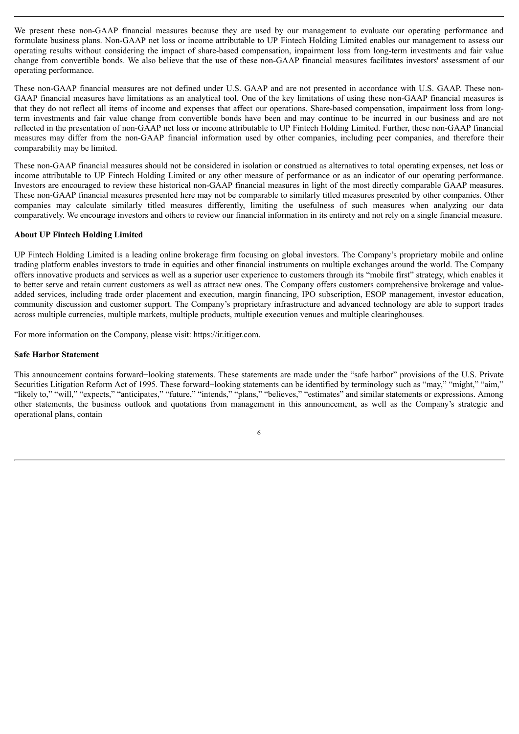We present these non-GAAP financial measures because they are used by our management to evaluate our operating performance and formulate business plans. Non-GAAP net loss or income attributable to UP Fintech Holding Limited enables our management to assess our operating results without considering the impact of share-based compensation, impairment loss from long-term investments and fair value change from convertible bonds. We also believe that the use of these non-GAAP financial measures facilitates investors' assessment of our operating performance.

These non-GAAP financial measures are not defined under U.S. GAAP and are not presented in accordance with U.S. GAAP. These non-GAAP financial measures have limitations as an analytical tool. One of the key limitations of using these non-GAAP financial measures is that they do not reflect all items of income and expenses that affect our operations. Share-based compensation, impairment loss from longterm investments and fair value change from convertible bonds have been and may continue to be incurred in our business and are not reflected in the presentation of non-GAAP net loss or income attributable to UP Fintech Holding Limited. Further, these non-GAAP financial measures may differ from the non-GAAP financial information used by other companies, including peer companies, and therefore their comparability may be limited.

These non-GAAP financial measures should not be considered in isolation or construed as alternatives to total operating expenses, net loss or income attributable to UP Fintech Holding Limited or any other measure of performance or as an indicator of our operating performance. Investors are encouraged to review these historical non-GAAP financial measures in light of the most directly comparable GAAP measures. These non-GAAP financial measures presented here may not be comparable to similarly titled measures presented by other companies. Other companies may calculate similarly titled measures differently, limiting the usefulness of such measures when analyzing our data comparatively. We encourage investors and others to review our financial information in its entirety and not rely on a single financial measure.

#### **About UP Fintech Holding Limited**

UP Fintech Holding Limited is a leading online brokerage firm focusing on global investors. The Company's proprietary mobile and online trading platform enables investors to trade in equities and other financial instruments on multiple exchanges around the world. The Company offers innovative products and services as well as a superior user experience to customers through its "mobile first" strategy, which enables it to better serve and retain current customers as well as attract new ones. The Company offers customers comprehensive brokerage and valueadded services, including trade order placement and execution, margin financing, IPO subscription, ESOP management, investor education, community discussion and customer support. The Company's proprietary infrastructure and advanced technology are able to support trades across multiple currencies, multiple markets, multiple products, multiple execution venues and multiple clearinghouses.

For more information on the Company, please visit: https://ir.itiger.com.

#### **Safe Harbor Statement**

This announcement contains forward−looking statements. These statements are made under the "safe harbor" provisions of the U.S. Private Securities Litigation Reform Act of 1995. These forward−looking statements can be identified by terminology such as "may," "might," "aim," "likely to," "will," "expects," "anticipates," "future," "intends," "plans," "believes," "estimates" and similar statements or expressions. Among other statements, the business outlook and quotations from management in this announcement, as well as the Company's strategic and operational plans, contain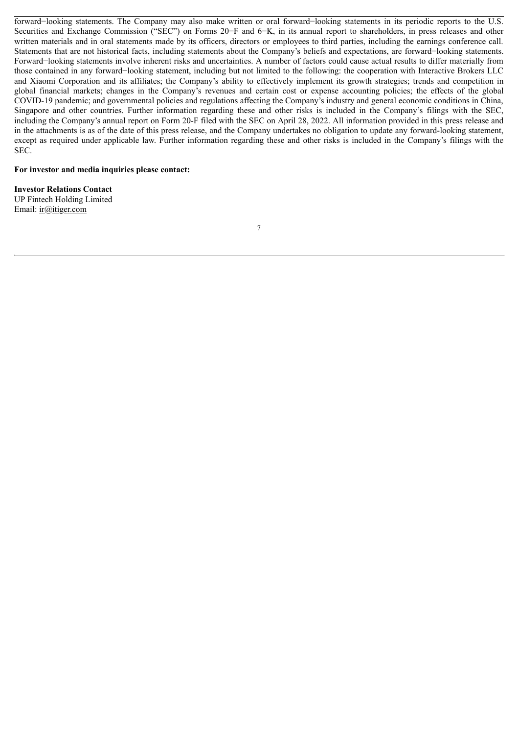forward−looking statements. The Company may also make written or oral forward−looking statements in its periodic reports to the U.S. Securities and Exchange Commission ("SEC") on Forms 20−F and 6−K, in its annual report to shareholders, in press releases and other written materials and in oral statements made by its officers, directors or employees to third parties, including the earnings conference call. Statements that are not historical facts, including statements about the Company's beliefs and expectations, are forward−looking statements. Forward−looking statements involve inherent risks and uncertainties. A number of factors could cause actual results to differ materially from those contained in any forward−looking statement, including but not limited to the following: the cooperation with Interactive Brokers LLC and Xiaomi Corporation and its affiliates; the Company's ability to effectively implement its growth strategies; trends and competition in global financial markets; changes in the Company's revenues and certain cost or expense accounting policies; the effects of the global COVID-19 pandemic; and governmental policies and regulations affecting the Company's industry and general economic conditions in China, Singapore and other countries. Further information regarding these and other risks is included in the Company's filings with the SEC, including the Company's annual report on Form 20-F filed with the SEC on April 28, 2022. All information provided in this press release and in the attachments is as of the date of this press release, and the Company undertakes no obligation to update any forward-looking statement, except as required under applicable law. Further information regarding these and other risks is included in the Company's filings with the SEC.

7

#### **For investor and media inquiries please contact:**

**Investor Relations Contact** UP Fintech Holding Limited Email: ir@itiger.com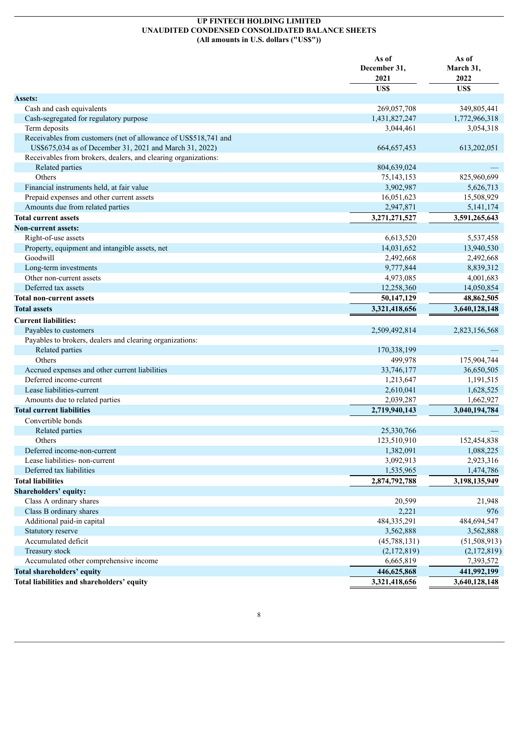## **UP FINTECH HOLDING LIMITED UNAUDITED CONDENSED CONSOLIDATED BALANCE SHEETS (All amounts in U.S. dollars ("US\$"))**

|                                                                 | As of<br>December 31,<br>2021<br>US\$ | As of<br>March 31,<br>2022<br>US\$ |
|-----------------------------------------------------------------|---------------------------------------|------------------------------------|
| <b>Assets:</b>                                                  |                                       |                                    |
| Cash and cash equivalents                                       | 269,057,708                           | 349,805,441                        |
| Cash-segregated for regulatory purpose                          | 1,431,827,247                         | 1,772,966,318                      |
| Term deposits                                                   | 3,044,461                             | 3,054,318                          |
| Receivables from customers (net of allowance of US\$518,741 and |                                       |                                    |
| US\$675,034 as of December 31, 2021 and March 31, 2022)         | 664, 657, 453                         | 613,202,051                        |
| Receivables from brokers, dealers, and clearing organizations:  |                                       |                                    |
| Related parties                                                 | 804,639,024                           |                                    |
| Others                                                          | 75, 143, 153                          | 825,960,699                        |
| Financial instruments held, at fair value                       | 3,902,987                             | 5,626,713                          |
| Prepaid expenses and other current assets                       | 16,051,623                            | 15,508,929                         |
| Amounts due from related parties                                | 2,947,871                             | 5, 141, 174                        |
| <b>Total current assets</b>                                     | 3,271,271,527                         | 3,591,265,643                      |
| <b>Non-current assets:</b>                                      |                                       |                                    |
| Right-of-use assets                                             | 6,613,520                             | 5,537,458                          |
| Property, equipment and intangible assets, net                  | 14,031,652                            | 13,940,530                         |
| Goodwill                                                        | 2,492,668                             | 2,492,668                          |
| Long-term investments                                           | 9,777,844                             | 8,839,312                          |
| Other non-current assets                                        | 4,973,085                             | 4,001,683                          |
| Deferred tax assets                                             | 12,258,360                            | 14,050,854                         |
| <b>Total non-current assets</b>                                 | 50,147,129                            | 48,862,505                         |
| <b>Total assets</b>                                             | 3,321,418,656                         | 3,640,128,148                      |
| <b>Current liabilities:</b>                                     |                                       |                                    |
| Payables to customers                                           | 2,509,492,814                         | 2,823,156,568                      |
| Payables to brokers, dealers and clearing organizations:        |                                       |                                    |
| Related parties                                                 | 170,338,199                           |                                    |
| Others                                                          | 499,978                               | 175,904,744                        |
| Accrued expenses and other current liabilities                  | 33,746,177                            | 36,650,505                         |
| Deferred income-current                                         | 1,213,647                             | 1,191,515                          |
| Lease liabilities-current                                       | 2,610,041                             | 1,628,525                          |
| Amounts due to related parties                                  | 2,039,287                             | 1,662,927                          |
| <b>Total current liabilities</b>                                | 2,719,940,143                         | 3,040,194,784                      |
| Convertible bonds                                               |                                       |                                    |
| Related parties                                                 | 25,330,766                            |                                    |
| Others                                                          | 123,510,910                           | 152,454,838                        |
| Deferred income-non-current                                     | 1,382,091                             | 1,088,225                          |
| Lease liabilities- non-current                                  | 3,092,913                             | 2,923,316                          |
| Deferred tax liabilities                                        | 1,535,965                             | 1,474,786                          |
| <b>Total liabilities</b>                                        | 2,874,792,788                         | 3,198,135,949                      |
| Shareholders' equity:                                           |                                       |                                    |
| Class A ordinary shares                                         | 20,599                                | 21,948                             |
| Class B ordinary shares                                         | 2,221                                 | 976                                |
| Additional paid-in capital                                      | 484,335,291                           | 484,694,547                        |
| Statutory reserve                                               | 3,562,888                             | 3,562,888                          |
| Accumulated deficit                                             | (45, 788, 131)                        | (51, 508, 913)                     |
| Treasury stock                                                  | (2,172,819)                           | (2,172,819)                        |
| Accumulated other comprehensive income                          | 6,665,819                             | 7,393,572                          |
| Total shareholders' equity                                      | 446,625,868                           | 441,992,199                        |
|                                                                 |                                       |                                    |
| Total liabilities and shareholders' equity                      | 3,321,418,656                         | 3,640,128,148                      |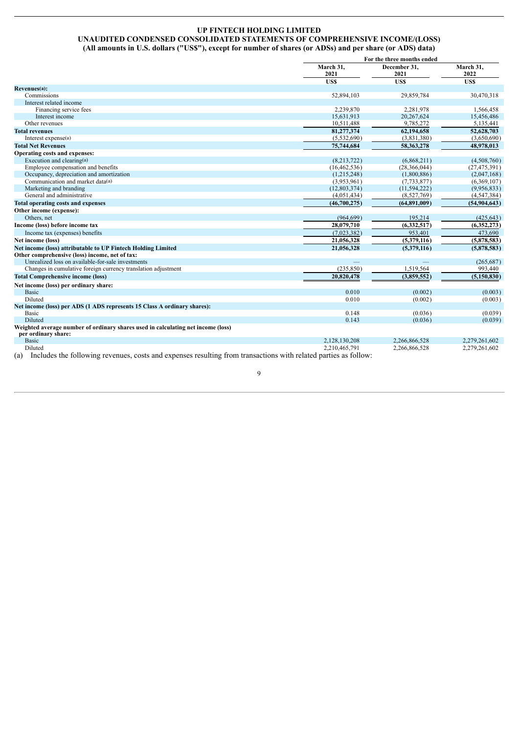#### **UP FINTECH HOLDING LIMITED UNAUDITED CONDENSED CONSOLIDATED STATEMENTS OF COMPREHENSIVE INCOME/(LOSS)** (All amounts in U.S. dollars ("US\$"), except for number of shares (or ADSs) and per share (or ADS) data)

|                                                                                                                     |                   | For the three months ended |                   |  |  |
|---------------------------------------------------------------------------------------------------------------------|-------------------|----------------------------|-------------------|--|--|
|                                                                                                                     | March 31.<br>2021 | December 31.<br>2021       | March 31,<br>2022 |  |  |
|                                                                                                                     | <b>USS</b>        | <b>USS</b>                 | <b>USS</b>        |  |  |
| Revenues(a):                                                                                                        |                   |                            |                   |  |  |
| Commissions                                                                                                         | 52,894,103        | 29,859,784                 | 30,470,318        |  |  |
| Interest related income                                                                                             |                   |                            |                   |  |  |
| Financing service fees                                                                                              | 2,239,870         | 2,281,978                  | 1,566,458         |  |  |
| Interest income                                                                                                     | 15,631,913        | 20,267,624                 | 15,456,486        |  |  |
| Other revenues                                                                                                      | 10,511,488        | 9,785,272                  | 5,135,441         |  |  |
| <b>Total revenues</b>                                                                                               | 81,277,374        | 62,194,658                 | 52,628,703        |  |  |
| Interest expense(a)                                                                                                 | (5,532,690)       | (3,831,380)                | (3,650,690)       |  |  |
| <b>Total Net Revenues</b>                                                                                           | 75,744,684        | 58, 363, 278               | 48,978,013        |  |  |
| Operating costs and expenses:                                                                                       |                   |                            |                   |  |  |
| Execution and clearing(a)                                                                                           | (8,213,722)       | (6,868,211)                | (4,508,760)       |  |  |
| Employee compensation and benefits                                                                                  | (16, 462, 536)    | (28, 366, 044)             | (27, 475, 391)    |  |  |
| Occupancy, depreciation and amortization                                                                            | (1,215,248)       | (1,800,886)                | (2,047,168)       |  |  |
| Communication and market data(a)                                                                                    | (3,953,961)       | (7,733,877)                | (6,369,107)       |  |  |
| Marketing and branding                                                                                              | (12,803,374)      | (11, 594, 222)             | (9,956,833)       |  |  |
| General and administrative                                                                                          | (4,051,434)       | (8,527,769)                | (4,547,384)       |  |  |
| <b>Total operating costs and expenses</b>                                                                           | (46,700,275)      | (64,891,009)               | (54,904,643)      |  |  |
| Other income (expense):                                                                                             |                   |                            |                   |  |  |
| Others, net                                                                                                         | (964, 699)        | 195,214                    | (425, 643)        |  |  |
| Income (loss) before income tax                                                                                     | 28,079,710        | (6,332,517)                | (6,352,273)       |  |  |
| Income tax (expenses) benefits                                                                                      | (7,023,382)       | 953,401                    | 473,690           |  |  |
| Net income (loss)                                                                                                   | 21,056,328        | (5,379,116)                | (5,878,583)       |  |  |
| Net income (loss) attributable to UP Fintech Holding Limited                                                        | 21,056,328        | (5,379,116)                | (5,878,583)       |  |  |
| Other comprehensive (loss) income, net of tax:                                                                      |                   |                            |                   |  |  |
| Unrealized loss on available-for-sale investments                                                                   |                   |                            | (265, 687)        |  |  |
| Changes in cumulative foreign currency translation adjustment                                                       | (235, 850)        | 1,519,564                  | 993,440           |  |  |
| <b>Total Comprehensive income (loss)</b>                                                                            | 20,820,478        | (3,859,552)                | (5, 150, 830)     |  |  |
|                                                                                                                     |                   |                            |                   |  |  |
| Net income (loss) per ordinary share:<br><b>Basic</b>                                                               |                   |                            |                   |  |  |
| Diluted                                                                                                             | 0.010<br>0.010    | (0.002)                    | (0.003)           |  |  |
|                                                                                                                     |                   | (0.002)                    | (0.003)           |  |  |
| Net income (loss) per ADS (1 ADS represents 15 Class A ordinary shares):<br><b>Basic</b>                            | 0.148             | (0.036)                    | (0.039)           |  |  |
| <b>Diluted</b>                                                                                                      | 0.143             | (0.036)                    | (0.039)           |  |  |
| Weighted average number of ordinary shares used in calculating net income (loss)                                    |                   |                            |                   |  |  |
| per ordinary share:                                                                                                 |                   |                            |                   |  |  |
| <b>Basic</b>                                                                                                        | 2,128,130,208     | 2,266,866,528              | 2,279,261,602     |  |  |
| Diluted                                                                                                             | 2.210.465.791     | 2,266,866,528              | 2,279,261,602     |  |  |
| (a) Includes the following revenues, easts and expenses resulting from transactions with related parties as follow: |                   |                            |                   |  |  |

(a) Includes the following revenues, costs and expenses resulting from transactions with related parties as follow: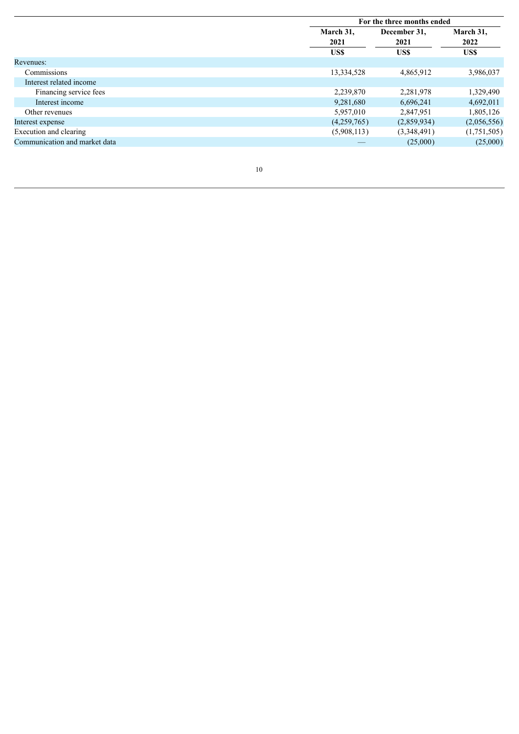|                               |                   | For the three months ended |                   |  |  |
|-------------------------------|-------------------|----------------------------|-------------------|--|--|
|                               | March 31,<br>2021 | December 31,<br>2021       | March 31,<br>2022 |  |  |
|                               | US\$              | US\$                       | US\$              |  |  |
| Revenues:                     |                   |                            |                   |  |  |
| Commissions                   | 13,334,528        | 4,865,912                  | 3,986,037         |  |  |
| Interest related income       |                   |                            |                   |  |  |
| Financing service fees        | 2,239,870         | 2,281,978                  | 1,329,490         |  |  |
| Interest income               | 9,281,680         | 6,696,241                  | 4,692,011         |  |  |
| Other revenues                | 5,957,010         | 2,847,951                  | 1,805,126         |  |  |
| Interest expense              | (4,259,765)       | (2,859,934)                | (2,056,556)       |  |  |
| Execution and clearing        | (5,908,113)       | (3,348,491)                | (1,751,505)       |  |  |
| Communication and market data |                   | (25,000)                   | (25,000)          |  |  |
|                               |                   |                            |                   |  |  |